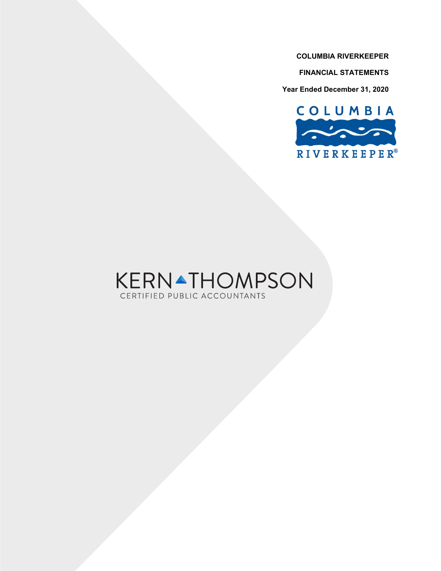**FINANCIAL STATEMENTS**

**Year Ended December 31, 2020**



# **KERNATHOMPSON** CERTIFIED PUBLIC ACCOUNTANTS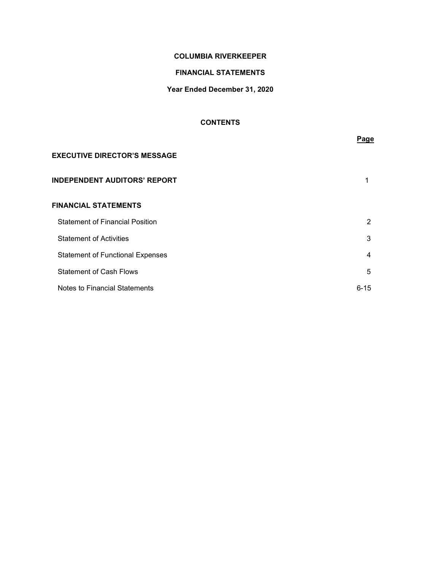# **FINANCIAL STATEMENTS**

# **Year Ended December 31, 2020**

# **CONTENTS**

|                                         | Page     |
|-----------------------------------------|----------|
| <b>EXECUTIVE DIRECTOR'S MESSAGE</b>     |          |
| <b>INDEPENDENT AUDITORS' REPORT</b>     |          |
| <b>FINANCIAL STATEMENTS</b>             |          |
| <b>Statement of Financial Position</b>  | 2        |
| <b>Statement of Activities</b>          | 3        |
| <b>Statement of Functional Expenses</b> | 4        |
| <b>Statement of Cash Flows</b>          | 5        |
| Notes to Financial Statements           | $6 - 15$ |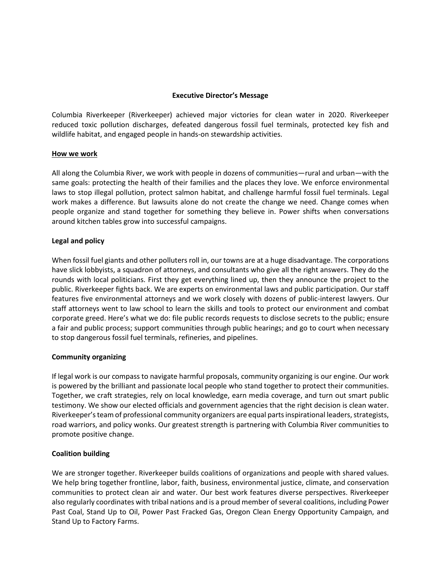# **Executive Director's Message**

Columbia Riverkeeper (Riverkeeper) achieved major victories for clean water in 2020. Riverkeeper reduced toxic pollution discharges, defeated dangerous fossil fuel terminals, protected key fish and wildlife habitat, and engaged people in hands-on stewardship activities.

# **How we work**

All along the Columbia River, we work with people in dozens of communities—rural and urban—with the same goals: protecting the health of their families and the places they love. We enforce environmental laws to stop illegal pollution, protect salmon habitat, and challenge harmful fossil fuel terminals. Legal work makes a difference. But lawsuits alone do not create the change we need. Change comes when people organize and stand together for something they believe in. Power shifts when conversations around kitchen tables grow into successful campaigns.

# **Legal and policy**

When fossil fuel giants and other polluters roll in, our towns are at a huge disadvantage. The corporations have slick lobbyists, a squadron of attorneys, and consultants who give all the right answers. They do the rounds with local politicians. First they get everything lined up, then they announce the project to the public. Riverkeeper fights back. We are experts on environmental laws and public participation. Our staff features five environmental attorneys and we work closely with dozens of public-interest lawyers. Our staff attorneys went to law school to learn the skills and tools to protect our environment and combat corporate greed. Here's what we do: file public records requests to disclose secrets to the public; ensure a fair and public process; support communities through public hearings; and go to court when necessary to stop dangerous fossil fuel terminals, refineries, and pipelines.

# **Community organizing**

If legal work is our compass to navigate harmful proposals, community organizing is our engine. Our work is powered by the brilliant and passionate local people who stand together to protect their communities. Together, we craft strategies, rely on local knowledge, earn media coverage, and turn out smart public testimony. We show our elected officials and government agencies that the right decision is clean water. Riverkeeper's team of professional community organizers are equal parts inspirational leaders, strategists, road warriors, and policy wonks. Our greatest strength is partnering with Columbia River communities to promote positive change.

# **Coalition building**

We are stronger together. Riverkeeper builds coalitions of organizations and people with shared values. We help bring together frontline, labor, faith, business, environmental justice, climate, and conservation communities to protect clean air and water. Our best work features diverse perspectives. Riverkeeper also regularly coordinates with tribal nations and is a proud member of several coalitions, including Power Past Coal, Stand Up to Oil, Power Past Fracked Gas, Oregon Clean Energy Opportunity Campaign, and Stand Up to Factory Farms.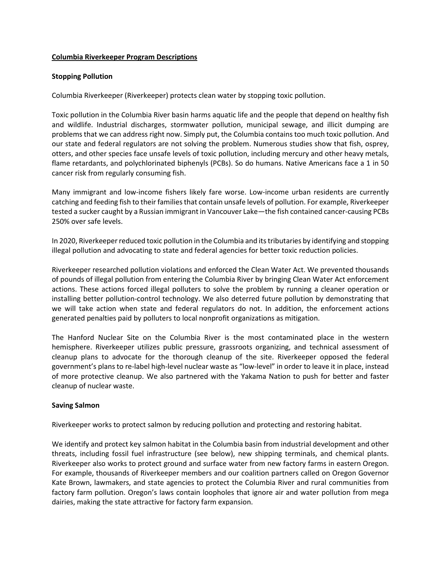# **Columbia Riverkeeper Program Descriptions**

# **Stopping Pollution**

Columbia Riverkeeper (Riverkeeper) protects clean water by stopping toxic pollution.

Toxic pollution in the Columbia River basin harms aquatic life and the people that depend on healthy fish and wildlife. Industrial discharges, stormwater pollution, municipal sewage, and illicit dumping are problems that we can address right now. Simply put, the Columbia contains too much toxic pollution. And our state and federal regulators are not solving the problem. Numerous studies show that fish, osprey, otters, and other species face unsafe levels of toxic pollution, including mercury and other heavy metals, flame retardants, and polychlorinated biphenyls (PCBs). So do humans. Native Americans face a 1 in 50 cancer risk from regularly consuming fish.

Many immigrant and low-income fishers likely fare worse. Low-income urban residents are currently catching and feeding fish to their families that contain unsafe levels of pollution. For example, Riverkeeper tested a sucker caught by a Russian immigrant in Vancouver Lake—the fish contained cancer-causing PCBs 250% over safe levels.

In 2020, Riverkeeper reduced toxic pollution in the Columbia and its tributaries by identifying and stopping illegal pollution and advocating to state and federal agencies for better toxic reduction policies.

Riverkeeper researched pollution violations and enforced the Clean Water Act. We prevented thousands of pounds of illegal pollution from entering the Columbia River by bringing Clean Water Act enforcement actions. These actions forced illegal polluters to solve the problem by running a cleaner operation or installing better pollution-control technology. We also deterred future pollution by demonstrating that we will take action when state and federal regulators do not. In addition, the enforcement actions generated penalties paid by polluters to local nonprofit organizations as mitigation.

The Hanford Nuclear Site on the Columbia River is the most contaminated place in the western hemisphere. Riverkeeper utilizes public pressure, grassroots organizing, and technical assessment of cleanup plans to advocate for the thorough cleanup of the site. Riverkeeper opposed the federal government's plans to re-label high-level nuclear waste as "low-level" in order to leave it in place, instead of more protective cleanup. We also partnered with the Yakama Nation to push for better and faster cleanup of nuclear waste.

## **Saving Salmon**

Riverkeeper works to protect salmon by reducing pollution and protecting and restoring habitat.

We identify and protect key salmon habitat in the Columbia basin from industrial development and other threats, including fossil fuel infrastructure (see below), new shipping terminals, and chemical plants. Riverkeeper also works to protect ground and surface water from new factory farms in eastern Oregon. For example, thousands of Riverkeeper members and our coalition partners called on Oregon Governor Kate Brown, lawmakers, and state agencies to protect the Columbia River and rural communities from factory farm pollution. Oregon's laws contain loopholes that ignore air and water pollution from mega dairies, making the state attractive for factory farm expansion.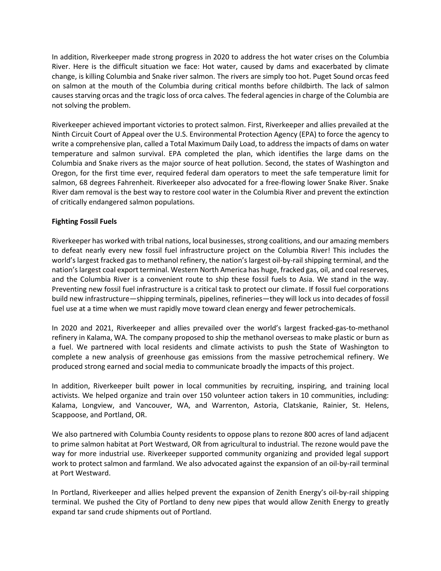In addition, Riverkeeper made strong progress in 2020 to address the hot water crises on the Columbia River. Here is the difficult situation we face: Hot water, caused by dams and exacerbated by climate change, is killing Columbia and Snake river salmon. The rivers are simply too hot. Puget Sound orcas feed on salmon at the mouth of the Columbia during critical months before childbirth. The lack of salmon causes starving orcas and the tragic loss of orca calves. The federal agencies in charge of the Columbia are not solving the problem.

Riverkeeper achieved important victories to protect salmon. First, Riverkeeper and allies prevailed at the Ninth Circuit Court of Appeal over the U.S. Environmental Protection Agency (EPA) to force the agency to write a comprehensive plan, called a Total Maximum Daily Load, to address the impacts of dams on water temperature and salmon survival. EPA completed the plan, which identifies the large dams on the Columbia and Snake rivers as the major source of heat pollution. Second, the states of Washington and Oregon, for the first time ever, required federal dam operators to meet the safe temperature limit for salmon, 68 degrees Fahrenheit. Riverkeeper also advocated for a free-flowing lower Snake River. Snake River dam removal is the best way to restore cool water in the Columbia River and prevent the extinction of critically endangered salmon populations.

# **Fighting Fossil Fuels**

Riverkeeper has worked with tribal nations, local businesses, strong coalitions, and our amazing members to defeat nearly every new fossil fuel infrastructure project on the Columbia River! This includes the world's largest fracked gas to methanol refinery, the nation's largest oil-by-rail shipping terminal, and the nation's largest coal export terminal. Western North America has huge, fracked gas, oil, and coal reserves, and the Columbia River is a convenient route to ship these fossil fuels to Asia. We stand in the way. Preventing new fossil fuel infrastructure is a critical task to protect our climate. If fossil fuel corporations build new infrastructure—shipping terminals, pipelines, refineries—they will lock us into decades of fossil fuel use at a time when we must rapidly move toward clean energy and fewer petrochemicals.

In 2020 and 2021, Riverkeeper and allies prevailed over the world's largest fracked-gas-to-methanol refinery in Kalama, WA. The company proposed to ship the methanol overseas to make plastic or burn as a fuel. We partnered with local residents and climate activists to push the State of Washington to complete a new analysis of greenhouse gas emissions from the massive petrochemical refinery. We produced strong earned and social media to communicate broadly the impacts of this project.

In addition, Riverkeeper built power in local communities by recruiting, inspiring, and training local activists. We helped organize and train over 150 volunteer action takers in 10 communities, including: Kalama, Longview, and Vancouver, WA, and Warrenton, Astoria, Clatskanie, Rainier, St. Helens, Scappoose, and Portland, OR.

We also partnered with Columbia County residents to oppose plans to rezone 800 acres of land adjacent to prime salmon habitat at Port Westward, OR from agricultural to industrial. The rezone would pave the way for more industrial use. Riverkeeper supported community organizing and provided legal support work to protect salmon and farmland. We also advocated against the expansion of an oil-by-rail terminal at Port Westward.

In Portland, Riverkeeper and allies helped prevent the expansion of Zenith Energy's oil-by-rail shipping terminal. We pushed the City of Portland to deny new pipes that would allow Zenith Energy to greatly expand tar sand crude shipments out of Portland.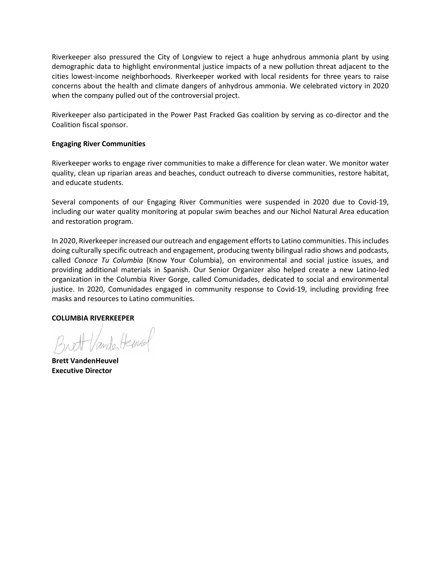Riverkeeper also pressured the City of Longview to reject a huge anhydrous ammonia plant by using demographic data to highlight environmental justice impacts of a new pollution threat adjacent to the cities lowest-income neighborhoods. Riverkeeper worked with local residents for three years to raise concerns about the health and climate dangers of anhydrous ammonia. We celebrated victory in 2020 when the company pulled out of the controversial project.

Riverkeeper also participated in the Power Past Fracked Gas coalition by serving as co-director and the Coalition fiscal sponsor.

# **Engaging River Communities**

Riverkeeper works to engage river communities to make a difference for clean water. We monitor water quality, clean up riparian areas and beaches, conduct outreach to diverse communities, restore habitat, and educate students.

Several components of our Engaging River Communities were suspended in 2020 due to Covid-19, including our water quality monitoring at popular swim beaches and our Nichol Natural Area education and restoration program.

In 2020, Riverkeeper increased our outreach and engagement efforts to Latino communities. This includes doing culturally specific outreach and engagement, producing twenty bilingual radio shows and podcasts, called *Conoce Tu Columbia* (Know Your Columbia), on environmental and social justice issues, and providing additional materials in Spanish. Our Senior Organizer also helped create a new Latino-led organization in the Columbia River Gorge, called Comunidades, dedicated to social and environmental justice. In 2020, Comunidades engaged in community response to Covid-19, including providing free masks and resources to Latino communities.

## **COLUMBIA RIVERKEEPER**

ander Henry

**Brett VandenHeuvel Executive Director**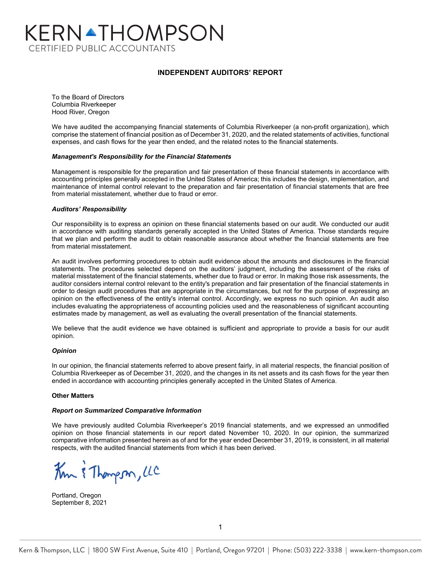# KERNATHOMPSON **CERTIFIED PUBLIC ACCOUNTANTS**

# **INDEPENDENT AUDITORS' REPORT**

To the Board of Directors Columbia Riverkeeper Hood River, Oregon

We have audited the accompanying financial statements of Columbia Riverkeeper (a non-profit organization), which comprise the statement of financial position as of December 31, 2020, and the related statements of activities, functional expenses, and cash flows for the year then ended, and the related notes to the financial statements.

#### *Management's Responsibility for the Financial Statements*

Management is responsible for the preparation and fair presentation of these financial statements in accordance with accounting principles generally accepted in the United States of America; this includes the design, implementation, and maintenance of internal control relevant to the preparation and fair presentation of financial statements that are free from material misstatement, whether due to fraud or error.

#### *Auditors' Responsibility*

Our responsibility is to express an opinion on these financial statements based on our audit. We conducted our audit in accordance with auditing standards generally accepted in the United States of America. Those standards require that we plan and perform the audit to obtain reasonable assurance about whether the financial statements are free from material misstatement.

An audit involves performing procedures to obtain audit evidence about the amounts and disclosures in the financial statements. The procedures selected depend on the auditors' judgment, including the assessment of the risks of material misstatement of the financial statements, whether due to fraud or error. In making those risk assessments, the auditor considers internal control relevant to the entity's preparation and fair presentation of the financial statements in order to design audit procedures that are appropriate in the circumstances, but not for the purpose of expressing an opinion on the effectiveness of the entity's internal control. Accordingly, we express no such opinion. An audit also includes evaluating the appropriateness of accounting policies used and the reasonableness of significant accounting estimates made by management, as well as evaluating the overall presentation of the financial statements.

We believe that the audit evidence we have obtained is sufficient and appropriate to provide a basis for our audit opinion.

#### *Opinion*

In our opinion, the financial statements referred to above present fairly, in all material respects, the financial position of Columbia Riverkeeper as of December 31, 2020, and the changes in its net assets and its cash flows for the year then ended in accordance with accounting principles generally accepted in the United States of America.

#### **Other Matters**

#### *Report on Summarized Comparative Information*

We have previously audited Columbia Riverkeeper's 2019 financial statements, and we expressed an unmodified opinion on those financial statements in our report dated November 10, 2020. In our opinion, the summarized comparative information presented herein as of and for the year ended December 31, 2019, is consistent, in all material respects, with the audited financial statements from which it has been derived.

Km & Thompson, LC

Portland, Oregon September 8, 2021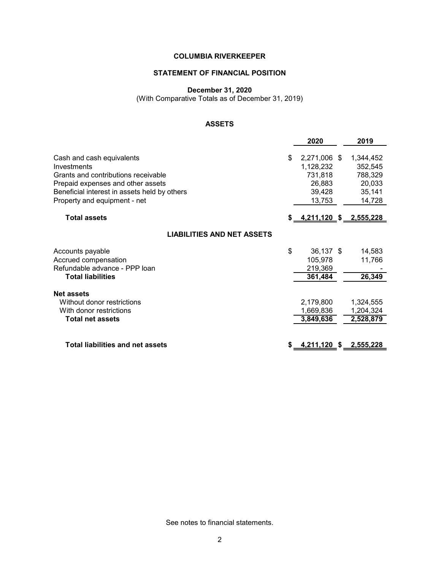# **STATEMENT OF FINANCIAL POSITION**

#### **December 31, 2020**

(With Comparative Totals as of December 31, 2019)

# **ASSETS**

|                                                                                                                                                                                                      | 2020                                                                     | 2019                                                          |
|------------------------------------------------------------------------------------------------------------------------------------------------------------------------------------------------------|--------------------------------------------------------------------------|---------------------------------------------------------------|
| Cash and cash equivalents<br>Investments<br>Grants and contributions receivable<br>Prepaid expenses and other assets<br>Beneficial interest in assets held by others<br>Property and equipment - net | \$<br>2,271,006 \$<br>1,128,232<br>731,818<br>26,883<br>39,428<br>13,753 | 1,344,452<br>352,545<br>788,329<br>20,033<br>35,141<br>14,728 |
| <b>Total assets</b>                                                                                                                                                                                  | \$ <u>4,211,120</u> \$2,555,228                                          |                                                               |
| <b>LIABILITIES AND NET ASSETS</b>                                                                                                                                                                    |                                                                          |                                                               |
| Accounts payable<br>Accrued compensation<br>Refundable advance - PPP loan<br><b>Total liabilities</b>                                                                                                | \$<br>36,137 \$<br>105,978<br>219,369<br>361,484                         | 14,583<br>11,766<br>26,349                                    |
| <b>Net assets</b><br>Without donor restrictions<br>With donor restrictions<br><b>Total net assets</b>                                                                                                | 2,179,800<br>1,669,836<br>3,849,636                                      | 1,324,555<br>1,204,324<br>2,528,879                           |
| <b>Total liabilities and net assets</b>                                                                                                                                                              | 4,211,120 \$                                                             | 2,555,228                                                     |

See notes to financial statements.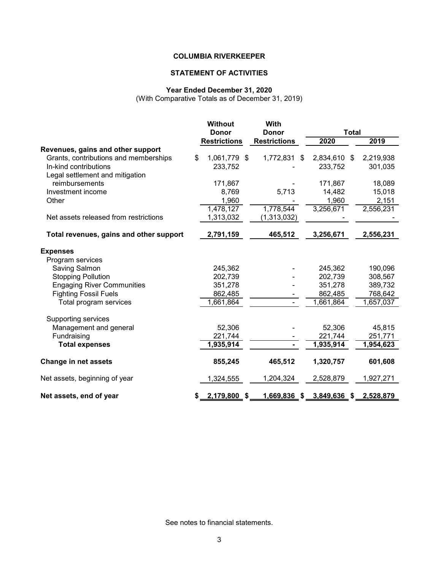# **STATEMENT OF ACTIVITIES**

# **Year Ended December 31, 2020**

(With Comparative Totals as of December 31, 2019)

|                                         | <b>Without</b>      | With                         |              |  |           |
|-----------------------------------------|---------------------|------------------------------|--------------|--|-----------|
|                                         | <b>Donor</b>        | <b>Donor</b><br><b>Total</b> |              |  |           |
|                                         | <b>Restrictions</b> | <b>Restrictions</b>          | 2020         |  | 2019      |
| Revenues, gains and other support       |                     |                              |              |  |           |
| Grants, contributions and memberships   | \$<br>1,061,779 \$  | 1,772,831<br>\$              | 2,834,610 \$ |  | 2,219,938 |
| In-kind contributions                   | 233,752             |                              | 233,752      |  | 301,035   |
| Legal settlement and mitigation         |                     |                              |              |  |           |
| reimbursements                          | 171,867             |                              | 171,867      |  | 18,089    |
| Investment income                       | 8,769               | 5,713                        | 14,482       |  | 15,018    |
| Other                                   | 1,960               |                              | 1,960        |  | 2,151     |
|                                         | 1,478,127           | 1,778,544                    | 3,256,671    |  | 2,556,231 |
| Net assets released from restrictions   | 1,313,032           | (1,313,032)                  |              |  |           |
| Total revenues, gains and other support | 2,791,159           | 465,512                      | 3,256,671    |  | 2,556,231 |
| <b>Expenses</b>                         |                     |                              |              |  |           |
| Program services                        |                     |                              |              |  |           |
| Saving Salmon                           | 245,362             |                              | 245,362      |  | 190,096   |
| <b>Stopping Pollution</b>               | 202,739             |                              | 202,739      |  | 308,567   |
| <b>Engaging River Communities</b>       | 351,278             |                              | 351,278      |  | 389,732   |
| <b>Fighting Fossil Fuels</b>            | 862,485             |                              | 862,485      |  | 768,642   |
| Total program services                  | 1,661,864           |                              | 1,661,864    |  | 1,657,037 |
| Supporting services                     |                     |                              |              |  |           |
| Management and general                  | 52,306              |                              | 52,306       |  | 45,815    |
| Fundraising                             | 221,744             |                              | 221,744      |  | 251,771   |
| <b>Total expenses</b>                   | 1,935,914           |                              | 1,935,914    |  | 1,954,623 |
|                                         |                     |                              |              |  |           |
| <b>Change in net assets</b>             | 855,245             | 465,512                      | 1,320,757    |  | 601,608   |
| Net assets, beginning of year           | 1,324,555           | 1,204,324                    | 2,528,879    |  | 1,927,271 |
| Net assets, end of year                 | \$<br>2,179,800 \$  | 1,669,836 \$                 | 3,849,636 \$ |  | 2,528,879 |

See notes to financial statements.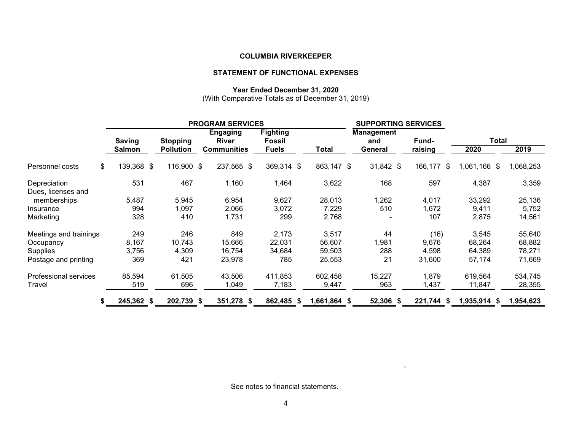# **STATEMENT OF FUNCTIONAL EXPENSES**

#### **Year Ended December 31, 2020**

(With Comparative Totals as of December 31, 2019)

|                        |            |                  | <b>PROGRAM SERVICES</b>         |                                  | <b>SUPPORTING SERVICES</b> |                          |            |              |           |  |  |
|------------------------|------------|------------------|---------------------------------|----------------------------------|----------------------------|--------------------------|------------|--------------|-----------|--|--|
|                        | Saving     | <b>Stopping</b>  | <b>Engaging</b><br><b>River</b> | <b>Fighting</b><br><b>Fossil</b> |                            | <b>Management</b><br>and | Fund-      | Total        |           |  |  |
|                        | Salmon     | <b>Pollution</b> | <b>Communities</b>              | <b>Fuels</b>                     | Total                      | General                  | raising    | 2020         | 2019      |  |  |
| Personnel costs<br>\$  | 139,368 \$ | 116,900 \$       | 237,565 \$                      | 369,314 \$                       | 863,147 \$                 | $31,842$ \$              | 166,177 \$ | 1,061,166 \$ | 1,068,253 |  |  |
| Depreciation           | 531        | 467              | 1,160                           | 1,464                            | 3,622                      | 168                      | 597        | 4,387        | 3,359     |  |  |
| Dues, licenses and     |            |                  |                                 |                                  |                            |                          |            |              |           |  |  |
| memberships            | 5,487      | 5,945            | 6,954                           | 9,627                            | 28,013                     | 1,262                    | 4,017      | 33,292       | 25,136    |  |  |
| Insurance              | 994        | 1,097            | 2,066                           | 3,072                            | 7,229                      | 510                      | 1,672      | 9,411        | 5,752     |  |  |
| Marketing              | 328        | 410              | 1,731                           | 299                              | 2,768                      |                          | 107        | 2,875        | 14,561    |  |  |
| Meetings and trainings | 249        | 246              | 849                             | 2,173                            | 3,517                      | 44                       | (16)       | 3,545        | 55,640    |  |  |
| Occupancy              | 8,167      | 10,743           | 15,666                          | 22,031                           | 56,607                     | 1,981                    | 9,676      | 68,264       | 68,882    |  |  |
| <b>Supplies</b>        | 3,756      | 4,309            | 16,754                          | 34,684                           | 59,503                     | 288                      | 4,598      | 64,389       | 78,271    |  |  |
| Postage and printing   | 369        | 421              | 23,978                          | 785                              | 25,553                     | 21                       | 31,600     | 57,174       | 71,669    |  |  |
| Professional services  | 85,594     | 61,505           | 43,506                          | 411,853                          | 602,458                    | 15,227                   | 1,879      | 619,564      | 534,745   |  |  |
| Travel                 | 519        | 696              | 1,049                           | 7,183                            | 9,447                      | 963                      | 1,437      | 11,847       | 28,355    |  |  |
| S.                     | 245,362 \$ | 202,739 \$       | 351,278 \$                      | 862,485 \$                       | 1,661,864 \$               | 52,306 \$                | 221,744 \$ | 1,935,914 \$ | 1,954,623 |  |  |

See notes to financial statements.

 $\bar{\mathbf{v}}$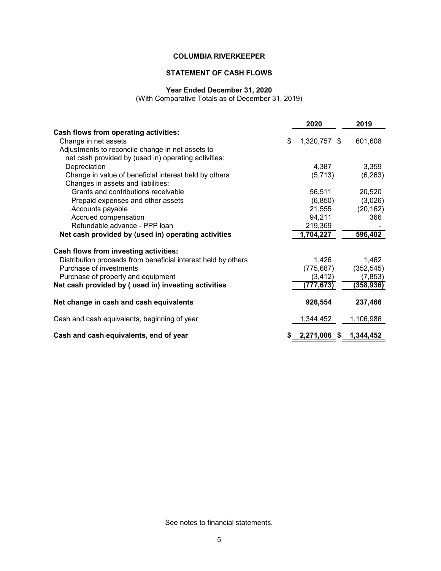# **STATEMENT OF CASH FLOWS**

#### **Year Ended December 31, 2020**

(With Comparative Totals as of December 31, 2019)

|                                                               | 2020               | 2019       |
|---------------------------------------------------------------|--------------------|------------|
| Cash flows from operating activities:                         |                    |            |
| Change in net assets                                          | \$<br>1,320,757 \$ | 601,608    |
| Adjustments to reconcile change in net assets to              |                    |            |
| net cash provided by (used in) operating activities:          |                    |            |
| Depreciation                                                  | 4,387              | 3,359      |
| Change in value of beneficial interest held by others         | (5,713)            | (6, 263)   |
| Changes in assets and liabilities:                            |                    |            |
| Grants and contributions receivable                           | 56,511             | 20,520     |
| Prepaid expenses and other assets                             | (6, 850)           | (3,026)    |
| Accounts payable                                              | 21,555             | (20, 162)  |
| Accrued compensation                                          | 94,211             | 366        |
| Refundable advance - PPP loan                                 | 219,369            |            |
| Net cash provided by (used in) operating activities           | 1,704,227          | 596,402    |
| Cash flows from investing activities:                         |                    |            |
| Distribution proceeds from beneficial interest held by others | 1,426              | 1,462      |
| Purchase of investments                                       | (775, 687)         | (352, 545) |
| Purchase of property and equipment                            | (3, 412)           | (7, 853)   |
| Net cash provided by (used in) investing activities           | (777,673)          | (358, 936) |
| Net change in cash and cash equivalents                       | 926,554            | 237,466    |
| Cash and cash equivalents, beginning of year                  | 1,344,452          | 1,106,986  |
| Cash and cash equivalents, end of year                        | 2,271,006 \$       | 1,344,452  |

See notes to financial statements.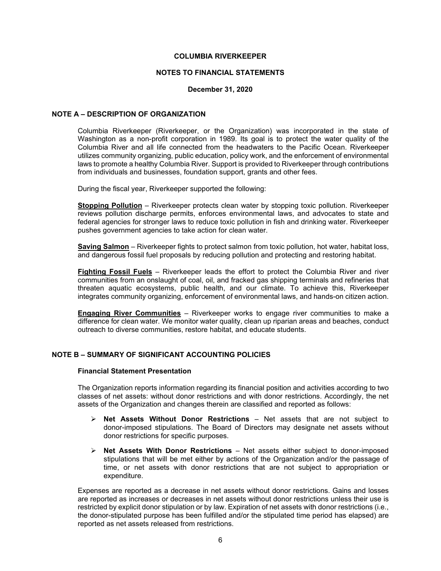#### **NOTES TO FINANCIAL STATEMENTS**

#### **December 31, 2020**

#### **NOTE A – DESCRIPTION OF ORGANIZATION**

Columbia Riverkeeper (Riverkeeper, or the Organization) was incorporated in the state of Washington as a non-profit corporation in 1989. Its goal is to protect the water quality of the Columbia River and all life connected from the headwaters to the Pacific Ocean. Riverkeeper utilizes community organizing, public education, policy work, and the enforcement of environmental laws to promote a healthy Columbia River. Support is provided to Riverkeeper through contributions from individuals and businesses, foundation support, grants and other fees.

During the fiscal year, Riverkeeper supported the following:

**Stopping Pollution** – Riverkeeper protects clean water by stopping toxic pollution. Riverkeeper reviews pollution discharge permits, enforces environmental laws, and advocates to state and federal agencies for stronger laws to reduce toxic pollution in fish and drinking water. Riverkeeper pushes government agencies to take action for clean water.

**Saving Salmon** – Riverkeeper fights to protect salmon from toxic pollution, hot water, habitat loss, and dangerous fossil fuel proposals by reducing pollution and protecting and restoring habitat.

**Fighting Fossil Fuels** – Riverkeeper leads the effort to protect the Columbia River and river communities from an onslaught of coal, oil, and fracked gas shipping terminals and refineries that threaten aquatic ecosystems, public health, and our climate. To achieve this, Riverkeeper integrates community organizing, enforcement of environmental laws, and hands-on citizen action.

**Engaging River Communities** – Riverkeeper works to engage river communities to make a difference for clean water. We monitor water quality, clean up riparian areas and beaches, conduct outreach to diverse communities, restore habitat, and educate students.

# **NOTE B – SUMMARY OF SIGNIFICANT ACCOUNTING POLICIES**

#### **Financial Statement Presentation**

The Organization reports information regarding its financial position and activities according to two classes of net assets: without donor restrictions and with donor restrictions. Accordingly, the net assets of the Organization and changes therein are classified and reported as follows:

- **Net Assets Without Donor Restrictions**  Net assets that are not subject to donor-imposed stipulations. The Board of Directors may designate net assets without donor restrictions for specific purposes.
- **Net Assets With Donor Restrictions** Net assets either subject to donor-imposed stipulations that will be met either by actions of the Organization and/or the passage of time, or net assets with donor restrictions that are not subject to appropriation or expenditure.

Expenses are reported as a decrease in net assets without donor restrictions. Gains and losses are reported as increases or decreases in net assets without donor restrictions unless their use is restricted by explicit donor stipulation or by law. Expiration of net assets with donor restrictions (i.e., the donor-stipulated purpose has been fulfilled and/or the stipulated time period has elapsed) are reported as net assets released from restrictions.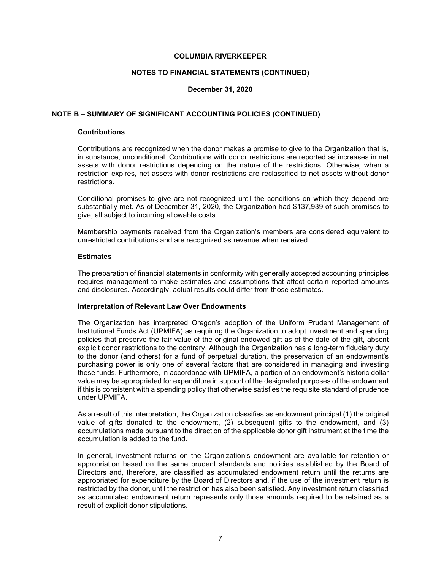#### **NOTES TO FINANCIAL STATEMENTS (CONTINUED)**

### **December 31, 2020**

#### **NOTE B – SUMMARY OF SIGNIFICANT ACCOUNTING POLICIES (CONTINUED)**

#### **Contributions**

Contributions are recognized when the donor makes a promise to give to the Organization that is, in substance, unconditional. Contributions with donor restrictions are reported as increases in net assets with donor restrictions depending on the nature of the restrictions. Otherwise, when a restriction expires, net assets with donor restrictions are reclassified to net assets without donor restrictions.

Conditional promises to give are not recognized until the conditions on which they depend are substantially met. As of December 31, 2020, the Organization had \$137,939 of such promises to give, all subject to incurring allowable costs.

Membership payments received from the Organization's members are considered equivalent to unrestricted contributions and are recognized as revenue when received.

#### **Estimates**

The preparation of financial statements in conformity with generally accepted accounting principles requires management to make estimates and assumptions that affect certain reported amounts and disclosures. Accordingly, actual results could differ from those estimates.

#### **Interpretation of Relevant Law Over Endowments**

The Organization has interpreted Oregon's adoption of the Uniform Prudent Management of Institutional Funds Act (UPMIFA) as requiring the Organization to adopt investment and spending policies that preserve the fair value of the original endowed gift as of the date of the gift, absent explicit donor restrictions to the contrary. Although the Organization has a long-term fiduciary duty to the donor (and others) for a fund of perpetual duration, the preservation of an endowment's purchasing power is only one of several factors that are considered in managing and investing these funds. Furthermore, in accordance with UPMIFA, a portion of an endowment's historic dollar value may be appropriated for expenditure in support of the designated purposes of the endowment if this is consistent with a spending policy that otherwise satisfies the requisite standard of prudence under UPMIFA.

As a result of this interpretation, the Organization classifies as endowment principal (1) the original value of gifts donated to the endowment, (2) subsequent gifts to the endowment, and (3) accumulations made pursuant to the direction of the applicable donor gift instrument at the time the accumulation is added to the fund.

In general, investment returns on the Organization's endowment are available for retention or appropriation based on the same prudent standards and policies established by the Board of Directors and, therefore, are classified as accumulated endowment return until the returns are appropriated for expenditure by the Board of Directors and, if the use of the investment return is restricted by the donor, until the restriction has also been satisfied. Any investment return classified as accumulated endowment return represents only those amounts required to be retained as a result of explicit donor stipulations.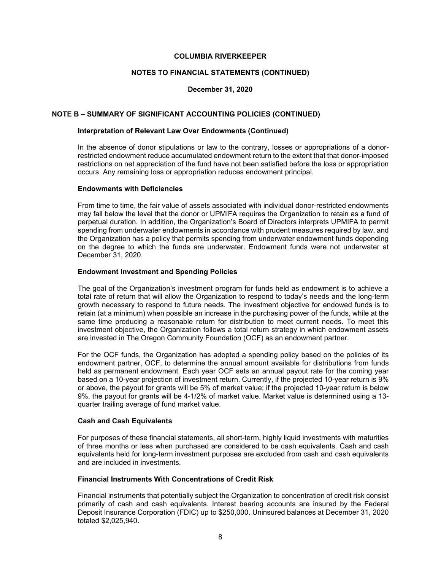#### **NOTES TO FINANCIAL STATEMENTS (CONTINUED)**

### **December 31, 2020**

#### **NOTE B – SUMMARY OF SIGNIFICANT ACCOUNTING POLICIES (CONTINUED)**

# **Interpretation of Relevant Law Over Endowments (Continued)**

In the absence of donor stipulations or law to the contrary, losses or appropriations of a donorrestricted endowment reduce accumulated endowment return to the extent that that donor-imposed restrictions on net appreciation of the fund have not been satisfied before the loss or appropriation occurs. Any remaining loss or appropriation reduces endowment principal.

#### **Endowments with Deficiencies**

From time to time, the fair value of assets associated with individual donor-restricted endowments may fall below the level that the donor or UPMIFA requires the Organization to retain as a fund of perpetual duration. In addition, the Organization's Board of Directors interprets UPMIFA to permit spending from underwater endowments in accordance with prudent measures required by law, and the Organization has a policy that permits spending from underwater endowment funds depending on the degree to which the funds are underwater. Endowment funds were not underwater at December 31, 2020.

#### **Endowment Investment and Spending Policies**

The goal of the Organization's investment program for funds held as endowment is to achieve a total rate of return that will allow the Organization to respond to today's needs and the long-term growth necessary to respond to future needs. The investment objective for endowed funds is to retain (at a minimum) when possible an increase in the purchasing power of the funds, while at the same time producing a reasonable return for distribution to meet current needs. To meet this investment objective, the Organization follows a total return strategy in which endowment assets are invested in The Oregon Community Foundation (OCF) as an endowment partner.

For the OCF funds, the Organization has adopted a spending policy based on the policies of its endowment partner, OCF, to determine the annual amount available for distributions from funds held as permanent endowment. Each year OCF sets an annual payout rate for the coming year based on a 10-year projection of investment return. Currently, if the projected 10-year return is 9% or above, the payout for grants will be 5% of market value; if the projected 10-year return is below 9%, the payout for grants will be 4-1/2% of market value. Market value is determined using a 13 quarter trailing average of fund market value.

#### **Cash and Cash Equivalents**

For purposes of these financial statements, all short-term, highly liquid investments with maturities of three months or less when purchased are considered to be cash equivalents. Cash and cash equivalents held for long-term investment purposes are excluded from cash and cash equivalents and are included in investments.

#### **Financial Instruments With Concentrations of Credit Risk**

Financial instruments that potentially subject the Organization to concentration of credit risk consist primarily of cash and cash equivalents. Interest bearing accounts are insured by the Federal Deposit Insurance Corporation (FDIC) up to \$250,000. Uninsured balances at December 31, 2020 totaled \$2,025,940.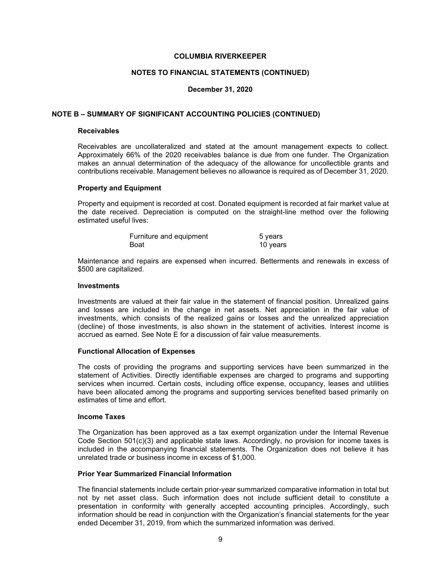#### **NOTES TO FINANCIAL STATEMENTS (CONTINUED)**

### **December 31, 2020**

#### **NOTE B – SUMMARY OF SIGNIFICANT ACCOUNTING POLICIES (CONTINUED)**

# **Receivables**

Receivables are uncollateralized and stated at the amount management expects to collect. Approximately 66% of the 2020 receivables balance is due from one funder. The Organization makes an annual determination of the adequacy of the allowance for uncollectible grants and contributions receivable. Management believes no allowance is required as of December 31, 2020.

#### **Property and Equipment**

Property and equipment is recorded at cost. Donated equipment is recorded at fair market value at the date received. Depreciation is computed on the straight-line method over the following estimated useful lives:

| Furniture and equipment | 5 years  |
|-------------------------|----------|
| Boat                    | 10 years |

Maintenance and repairs are expensed when incurred. Betterments and renewals in excess of \$500 are capitalized.

#### **Investments**

Investments are valued at their fair value in the statement of financial position. Unrealized gains and losses are included in the change in net assets. Net appreciation in the fair value of investments, which consists of the realized gains or losses and the unrealized appreciation (decline) of those investments, is also shown in the statement of activities. Interest income is accrued as earned. See Note E for a discussion of fair value measurements.

#### **Functional Allocation of Expenses**

The costs of providing the programs and supporting services have been summarized in the statement of Activities. Directly identifiable expenses are charged to programs and supporting services when incurred. Certain costs, including office expense, occupancy, leases and utilities have been allocated among the programs and supporting services benefited based primarily on estimates of time and effort.

#### **Income Taxes**

The Organization has been approved as a tax exempt organization under the Internal Revenue Code Section 501(c)(3) and applicable state laws. Accordingly, no provision for income taxes is included in the accompanying financial statements. The Organization does not believe it has unrelated trade or business income in excess of \$1,000.

#### **Prior Year Summarized Financial Information**

The financial statements include certain prior-year summarized comparative information in total but not by net asset class. Such information does not include sufficient detail to constitute a presentation in conformity with generally accepted accounting principles. Accordingly, such information should be read in conjunction with the Organization's financial statements for the year ended December 31, 2019, from which the summarized information was derived.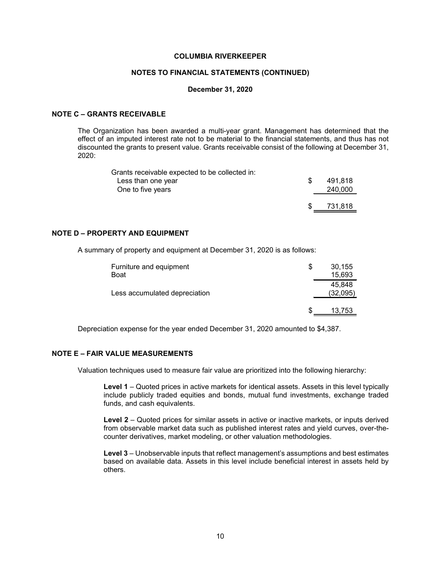#### **NOTES TO FINANCIAL STATEMENTS (CONTINUED)**

#### **December 31, 2020**

## **NOTE C – GRANTS RECEIVABLE**

The Organization has been awarded a multi-year grant. Management has determined that the effect of an imputed interest rate not to be material to the financial statements, and thus has not discounted the grants to present value. Grants receivable consist of the following at December 31, 2020:

| Grants receivable expected to be collected in: |     |         |
|------------------------------------------------|-----|---------|
| Less than one year                             | £.  | 491.818 |
| One to five years                              |     | 240,000 |
|                                                |     |         |
|                                                | \$. | 731.818 |

# **NOTE D – PROPERTY AND EQUIPMENT**

A summary of property and equipment at December 31, 2020 is as follows:

| Furniture and equipment<br><b>Boat</b> | S | 30,155<br>15,693   |
|----------------------------------------|---|--------------------|
| Less accumulated depreciation          |   | 45.848<br>(32,095) |
|                                        | S | 13,753             |

Depreciation expense for the year ended December 31, 2020 amounted to \$4,387.

# **NOTE E – FAIR VALUE MEASUREMENTS**

Valuation techniques used to measure fair value are prioritized into the following hierarchy:

**Level 1** – Quoted prices in active markets for identical assets. Assets in this level typically include publicly traded equities and bonds, mutual fund investments, exchange traded funds, and cash equivalents.

**Level 2** – Quoted prices for similar assets in active or inactive markets, or inputs derived from observable market data such as published interest rates and yield curves, over-thecounter derivatives, market modeling, or other valuation methodologies.

**Level 3** – Unobservable inputs that reflect management's assumptions and best estimates based on available data. Assets in this level include beneficial interest in assets held by others.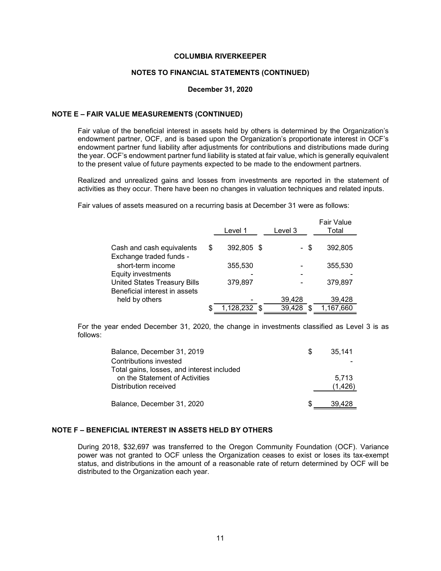#### **NOTES TO FINANCIAL STATEMENTS (CONTINUED)**

#### **December 31, 2020**

#### **NOTE E – FAIR VALUE MEASUREMENTS (CONTINUED)**

Fair value of the beneficial interest in assets held by others is determined by the Organization's endowment partner, OCF, and is based upon the Organization's proportionate interest in OCF's endowment partner fund liability after adjustments for contributions and distributions made during the year. OCF's endowment partner fund liability is stated at fair value, which is generally equivalent to the present value of future payments expected to be made to the endowment partners.

Realized and unrealized gains and losses from investments are reported in the statement of activities as they occur. There have been no changes in valuation techniques and related inputs.

Fair values of assets measured on a recurring basis at December 31 were as follows:

|                                     | Level 1          | Level 3 | <b>Fair Value</b><br>Total |
|-------------------------------------|------------------|---------|----------------------------|
| Cash and cash equivalents           | \$<br>392,805 \$ | - \$    | 392,805                    |
| Exchange traded funds -             |                  |         |                            |
| short-term income                   | 355,530          |         | 355,530                    |
| <b>Equity investments</b>           |                  |         |                            |
| <b>United States Treasury Bills</b> | 379,897          |         | 379,897                    |
| Beneficial interest in assets       |                  |         |                            |
| held by others                      |                  | 39,428  | 39,428                     |
|                                     | 1,128,232        | 39.428  | 1,167,660                  |

For the year ended December 31, 2020, the change in investments classified as Level 3 is as follows:

| Balance, December 31, 2019                 | S | 35.141  |
|--------------------------------------------|---|---------|
| Contributions invested                     |   |         |
| Total gains, losses, and interest included |   |         |
| on the Statement of Activities             |   | 5.713   |
| Distribution received                      |   | (1,426) |
| Balance, December 31, 2020                 |   | 39.428  |

# **NOTE F – BENEFICIAL INTEREST IN ASSETS HELD BY OTHERS**

During 2018, \$32,697 was transferred to the Oregon Community Foundation (OCF). Variance power was not granted to OCF unless the Organization ceases to exist or loses its tax-exempt status, and distributions in the amount of a reasonable rate of return determined by OCF will be distributed to the Organization each year.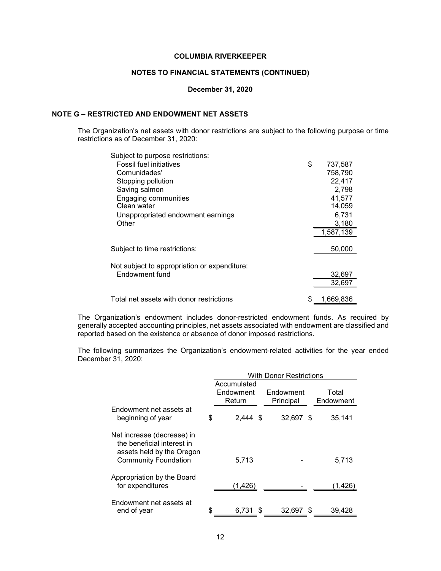# **NOTES TO FINANCIAL STATEMENTS (CONTINUED)**

#### **December 31, 2020**

# **NOTE G – RESTRICTED AND ENDOWMENT NET ASSETS**

The Organization's net assets with donor restrictions are subject to the following purpose or time restrictions as of December 31, 2020:

| Subject to purpose restrictions:             |                 |
|----------------------------------------------|-----------------|
| <b>Fossil fuel initiatives</b>               | \$<br>737,587   |
| Comunidades'                                 | 758,790         |
| Stopping pollution                           | 22,417          |
| Saving salmon                                | 2,798           |
| Engaging communities                         | 41,577          |
| Clean water                                  | 14,059          |
| Unappropriated endowment earnings            | 6,731           |
| Other                                        | 3,180           |
|                                              | 1,587,139       |
|                                              |                 |
| Subject to time restrictions:                | 50,000          |
|                                              |                 |
| Not subject to appropriation or expenditure: |                 |
| Endowment fund                               | 32,697          |
|                                              | 32,697          |
| Total net assets with donor restrictions     | \$<br>1.669.836 |
|                                              |                 |

The Organization's endowment includes donor-restricted endowment funds. As required by generally accepted accounting principles, net assets associated with endowment are classified and reported based on the existence or absence of donor imposed restrictions.

The following summarizes the Organization's endowment-related activities for the year ended December 31, 2020:

|                                                                                                                      |                                    | <b>With Donor Restrictions</b> |          |
|----------------------------------------------------------------------------------------------------------------------|------------------------------------|--------------------------------|----------|
|                                                                                                                      | Accumulated<br>Endowment<br>Return | Total<br>Endowment             |          |
| Endowment net assets at<br>beginning of year                                                                         | \$<br>$2.444$ \$                   | 32,697 \$                      | 35,141   |
| Net increase (decrease) in<br>the beneficial interest in<br>assets held by the Oregon<br><b>Community Foundation</b> | 5,713                              |                                | 5,713    |
| Appropriation by the Board<br>for expenditures                                                                       | (1, 426)                           |                                | (1, 426) |
| Endowment net assets at<br>end of year                                                                               | \$<br>6,731<br>S                   | 32,697<br>- \$                 | 39,428   |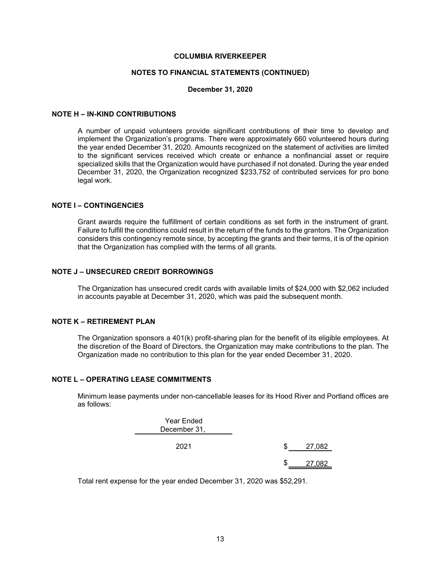#### **NOTES TO FINANCIAL STATEMENTS (CONTINUED)**

#### **December 31, 2020**

#### **NOTE H – IN-KIND CONTRIBUTIONS**

A number of unpaid volunteers provide significant contributions of their time to develop and implement the Organization's programs. There were approximately 660 volunteered hours during the year ended December 31, 2020. Amounts recognized on the statement of activities are limited to the significant services received which create or enhance a nonfinancial asset or require specialized skills that the Organization would have purchased if not donated. During the year ended December 31, 2020, the Organization recognized \$233,752 of contributed services for pro bono legal work.

### **NOTE I – CONTINGENCIES**

Grant awards require the fulfillment of certain conditions as set forth in the instrument of grant. Failure to fulfill the conditions could result in the return of the funds to the grantors. The Organization considers this contingency remote since, by accepting the grants and their terms, it is of the opinion that the Organization has complied with the terms of all grants.

## **NOTE J – UNSECURED CREDIT BORROWINGS**

The Organization has unsecured credit cards with available limits of \$24,000 with \$2,062 included in accounts payable at December 31, 2020, which was paid the subsequent month.

# **NOTE K – RETIREMENT PLAN**

The Organization sponsors a 401(k) profit-sharing plan for the benefit of its eligible employees. At the discretion of the Board of Directors, the Organization may make contributions to the plan. The Organization made no contribution to this plan for the year ended December 31, 2020.

## **NOTE L – OPERATING LEASE COMMITMENTS**

Minimum lease payments under non-cancellable leases for its Hood River and Portland offices are as follows:

| Year Ended<br>December 31, |   |        |
|----------------------------|---|--------|
| 2021                       | S | 27,082 |
|                            | S |        |

Total rent expense for the year ended December 31, 2020 was \$52,291.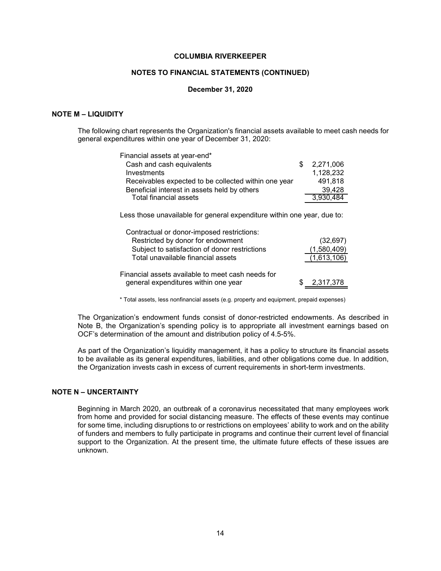#### **NOTES TO FINANCIAL STATEMENTS (CONTINUED)**

#### **December 31, 2020**

#### **NOTE M – LIQUIDITY**

The following chart represents the Organization's financial assets available to meet cash needs for general expenditures within one year of December 31, 2020:

| Financial assets at year-end*                        |             |
|------------------------------------------------------|-------------|
| Cash and cash equivalents                            | \$2,271,006 |
| Investments                                          | 1,128,232   |
| Receivables expected to be collected within one year | 491,818     |
| Beneficial interest in assets held by others         | 39,428      |
| Total financial assets                               | 3,930,484   |

Less those unavailable for general expenditure within one year, due to:

| Contractual or donor-imposed restrictions:                                                |             |
|-------------------------------------------------------------------------------------------|-------------|
| Restricted by donor for endowment                                                         | (32, 697)   |
| Subject to satisfaction of donor restrictions                                             | (1,580,409) |
| Total unavailable financial assets                                                        | (1,613,106) |
| Financial assets available to meet cash needs for<br>general expenditures within one year | 2,317,378   |

\* Total assets, less nonfinancial assets (e.g. property and equipment, prepaid expenses)

The Organization's endowment funds consist of donor-restricted endowments. As described in Note B, the Organization's spending policy is to appropriate all investment earnings based on OCF's determination of the amount and distribution policy of 4.5-5%.

As part of the Organization's liquidity management, it has a policy to structure its financial assets to be available as its general expenditures, liabilities, and other obligations come due. In addition, the Organization invests cash in excess of current requirements in short-term investments.

# **NOTE N – UNCERTAINTY**

Beginning in March 2020, an outbreak of a coronavirus necessitated that many employees work from home and provided for social distancing measure. The effects of these events may continue for some time, including disruptions to or restrictions on employees' ability to work and on the ability of funders and members to fully participate in programs and continue their current level of financial support to the Organization. At the present time, the ultimate future effects of these issues are unknown.